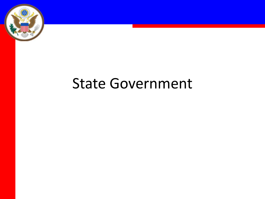

### State Government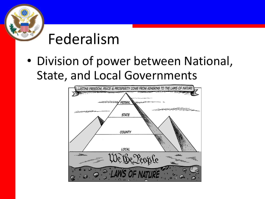

## Federalism

• Division of power between National, State, and Local Governments

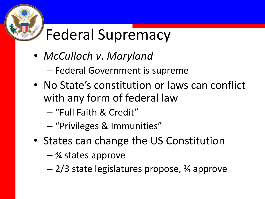# Federal Supremacy

- *McCulloch v*. *Maryland*
	- Federal Government is supreme
- No State's constitution or laws can conflict with any form of federal law
	- "Full Faith & Credit"
	- "Privileges & Immunities"
- States can change the US Constitution
	- $-$  <sup>3</sup>/<sub>4</sub> states approve
	- 2/3 state legislatures propose, ¾ approve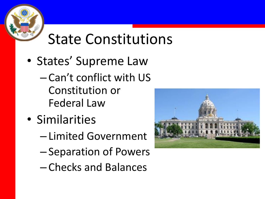

# State Constitutions

- States' Supreme Law
	- Can't conflict with US Constitution or Federal Law
- Similarities
	- Limited Government
	- Separation of Powers
	- Checks and Balances

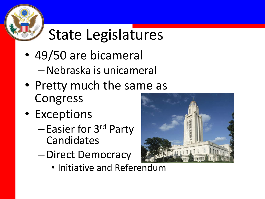

# State Legislatures

- 49/50 are bicameral
	- –Nebraska is unicameral
- Pretty much the same as Congress
- Exceptions
	- Easier for 3rd Party Candidates
	- –Direct Democracy
		- Initiative and Referendum

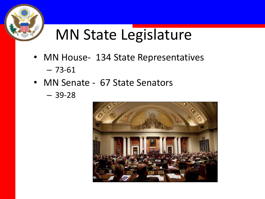

## MN State Legislature

- MN House- 134 State Representatives – 73-61
- MN Senate 67 State Senators
	- 39-28

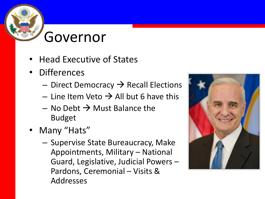#### Governor

- Head Executive of States
- Differences
	- $-$  Direct Democracy  $\rightarrow$  Recall Elections
	- Line Item Veto  $\rightarrow$  All but 6 have this
	- $-$  No Debt  $\rightarrow$  Must Balance the Budget
- Many "Hats"
	- Supervise State Bureaucracy, Make Appointments, Military – National Guard, Legislative, Judicial Powers – Pardons, Ceremonial – Visits & Addresses

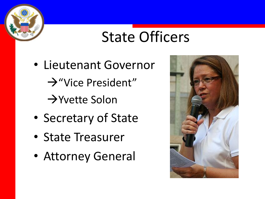

### State Officers

- Lieutenant Governor "Vice President"  $\rightarrow$ Yvette Solon
- Secretary of State
- State Treasurer
- Attorney General